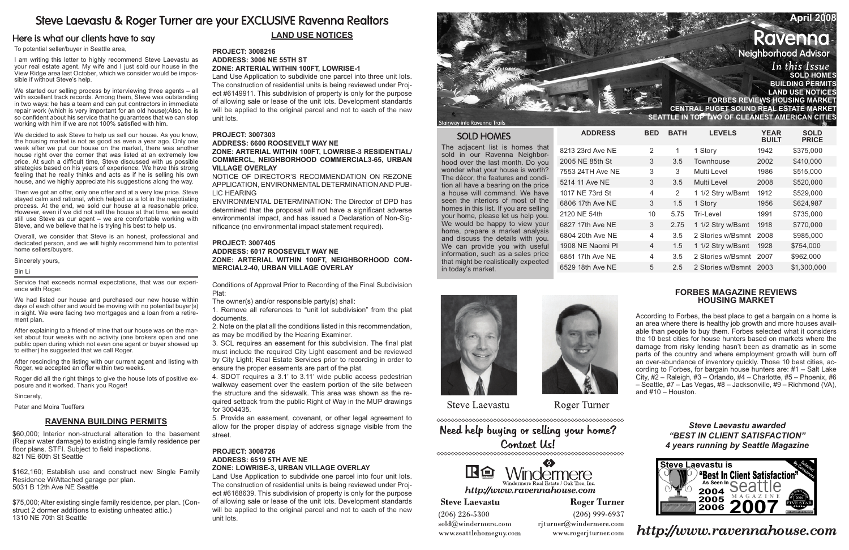# Steve Laevastu & Roger Turner are your EXCLUSIVE Ravenna Realtors

## Here is what our clients have to say

## **April 2008** Ravenna **Neighborhood Advisor** In this Issue **Sold Homes Building Permits Land Use Notices Forbes reviews housing market Central Puget Sound real estate market Seattle in top two of cleanest American cities**

To potential seller/buyer in Seattle area,

I am writing this letter to highly recommend Steve Laevastu as your real estate agent. My wife and I just sold our house in the View Ridge area last October, which we consider would be impossible if without Steve's help.

We started our selling process by interviewing three agents – all with excellent track records. Among them, Steve was outstanding in two ways: he has a team and can put contractors in immediate repair work (which is very important for an old house);Also, he is so confident about his service that he guarantees that we can stop working with him if we are not 100% satisfied with him.

We decided to ask Steve to help us sell our house. As you know, the housing market is not as good as even a year ago. Only one week after we put our house on the market, there was another house right over the corner that was listed at an extremely low price. At such a difficult time, Steve discussed with us possible strategies based on his years of experience. We have this strong feeling that he really thinks and acts as if he is selling his own house, and we highly appreciate his suggestions along the way.

Then we got an offer, only one offer and at a very low price. Steve stayed calm and rational, which helped us a lot in the negotiating process. At the end, we sold our house at a reasonable price. However, even if we did not sell the house at that time, we would still use Steve as our agent – we are comfortable working with Steve, and we believe that he is trying his best to help us.

Overall, we consider that Steve is an honest, professional and dedicated person, and we will highly recommend him to potential home sellers/buyers.

Sincerely yours,

#### Bin Li

Service that exceeds normal expectations, that was our experience with Roger.

We had listed our house and purchased our new house within days of each other and would be moving with no potential buyer(s) in sight. We were facing two mortgages and a loan from a retirement plan.

After explaining to a friend of mine that our house was on the market about four weeks with no activity (one brokers open and one public open during which not even one agent or buyer showed up to either) he suggested that we call Roger.

After rescinding the listing with our current agent and listing with Roger, we accepted an offer within two weeks.

Roger did all the right things to give the house lots of positive exposure and it worked. Thank you Roger!

Sincerely,

Peter and Moira Tueffers

## **LAND USE Notices**

### **Project: 3008216 Address: 3006 NE 55TH ST Zone: ARTERIAL WITHIN 100FT, LOWRISE-1**

Land Use Application to subdivide one parcel into three unit lots. The construction of residential units is being reviewed under Project #6149911. This subdivision of property is only for the purpose of allowing sale or lease of the unit lots. Development standards will be applied to the original parcel and not to each of the new unit lots.

### **Project: 3007303**

### **Address: 6600 ROOSEVELT WAY NE Zone: ARTERIAL WITHIN 100FT, LOWRISE-3 RESIDENTIAL/ COMMERCL, NEIGHBORHOOD COMMERCIAL3-65, URBAN VILLAGE OVERLAY**

NOTICE OF DIRECTOR'S RECOMMENDATION ON REZONE APPLICATION, ENVIRONMENTAL DETERMINATION AND PUB-LIC HEARING

ENVIRONMENTAL DETERMINATION: The Director of DPD has determined that the proposal will not have a significant adverse environmental impact, and has issued a Declaration of Non-Significance (no environmental impact statement required).

### **Project: 3007405**

## **Address: 6017 ROOSEVELT WAY NE Zone: ARTERIAL WITHIN 100FT, NEIGHBORHOOD COM-MERCIAL2-40, URBAN VILLAGE OVERLAY**

Conditions of Approval Prior to Recording of the Final Subdivision Plat:

The owner(s) and/or responsible party(s) shall:

1. Remove all references to "unit lot subdivision" from the plat documents.

2. Note on the plat all the conditions listed in this recommendation, as may be modified by the Hearing Examiner.

3. SCL requires an easement for this subdivision. The final plat must include the required City Light easement and be reviewed by City Light; Real Estate Services prior to recording in order to ensure the proper easements are part of the plat.

4. SDOT requires a 3.1' to 3.11' wide public access pedestrian walkway easement over the eastern portion of the site between the structure and the sidewalk. This area was shown as the required setback from the public Right of Way in the MUP drawings for 3004435.

5. Provide an easement, covenant, or other legal agreement to allow for the proper display of address signage visible from the street.

### **Project: 3008726 Address: 6519 5TH AVE NE Zone: LOWRISE-3, URBAN VILLAGE OVERLAY**

Land Use Application to subdivide one parcel into four unit lots. The construction of residential units is being reviewed under Project #6168639. This subdivision of property is only for the purpose of allowing sale or lease of the unit lots. Development standards will be applied to the original parcel and not to each of the new unit lots.



Stairway into Ravenna Trail:

## **SOLD HOMES**

The adjacent list is homes that sold in our Ravenna Neighborhood over the last month. Do you wonder what your house is worth? The décor, the features and condition all have a bearing on the price a house will command. We have seen the interiors of most of the homes in this list. If you are selling your home, please let us help you. We would be happy to view your home, prepare a market analysis and discuss the details with you. We can provide you with useful information, such as a sales price that might be realistically expected in today's market.

8213 23rd Ave NE 2005 NE 85th St 7553 24TH Ave NE 5214 11 Ave NE 1017 NE 73rd St 6806 17th Ave NE 2120 NE 54th 6827 17th Ave NE 6804 20th Ave NE 1908 NE Naomi Pl 6851 17th Ave NE

6529 18th Ave NE

 $ADDRESS$ 





**Steve Laevastu** 

**Roger Turner** 

Need help buying or selling your home? Contact Us!



http://www.ravennahouse.com

**Roger Turner** 

 $(206)$  226-5300 sold@windermere.com www.seattlehomeguy.com

**Steve Laevastu** 

 $(206)$  999-6937 rjturner@windermere.com

www.rogerjturner.com

| BED | <b>BATH</b> | <b>LEVELS</b>     | <b>YEAR</b><br><b>BUILT</b> | <b>SOLD</b><br><b>PRICE</b> |
|-----|-------------|-------------------|-----------------------------|-----------------------------|
| 2   | 1           | 1 Story           | 1942                        | \$375,000                   |
| 3   | 3.5         | Townhouse         | 2002                        | \$410,000                   |
| 3   | 3           | Multi Level       | 1986                        | \$515,000                   |
| 3   | 3.5         | Multi Level       | 2008                        | \$520,000                   |
| 4   | 2           | 1 1/2 Stry w/Bsmt | 1912                        | \$529,000                   |
| 3   | 1.5         | 1 Story           | 1956                        | \$624,987                   |
| 10  | 5.75        | Tri-Level         | 1991                        | \$735,000                   |
| 3   | 2.75        | 1 1/2 Stry w/Bsmt | 1918                        | \$770,000                   |
| 4   | 3.5         | 2 Stories w/Bsmnt | 2008                        | \$985,000                   |
| 4   | 1.5         | 1 1/2 Stry w/Bsmt | 1928                        | \$754,000                   |
| 4   | 3.5         | 2 Stories w/Bsmnt | 2007                        | \$962,000                   |
| 5   | 2.5         | 2 Stories w/Bsmnt | 2003                        | \$1,300,000                 |

## **Ravenna Building Permits**

\$60,000; Interior non-structural alteration to the basement (Repair water damage) to existing single family residence per floor plans. STFI. Subject to field inspections. 821 NE 60th St Seattle

\$162,160; Establish use and construct new Single Family Residence W/Attached garage per plan. 5031 B 12th Ave NE Seattle

\$75,000; Alter existing single family residence, per plan. (Construct 2 dormer additions to existing unheated attic.) 1310 NE 70th St Seattle

## **Forbes Magazine Reviews Housing Market**

According to Forbes, the best place to get a bargain on a home is an area where there is healthy job growth and more houses available than people to buy them. Forbes selected what it considers the 10 best cities for house hunters based on markets where the damage from risky lending hasn't been as dramatic as in some parts of the country and where employment growth will burn off an over-abundance of inventory quickly. Those 10 best cities, according to Forbes, for bargain house hunters are: #1 – Salt Lake City, #2 – Raleigh, #3 – Orlando, #4 – Charlotte, #5 – Phoenix, #6 – Seattle, #7 – Las Vegas, #8 – Jacksonville, #9 – Richmond (VA), and #10 – Houston.

> *Steve Laevastu awarded "Best In Client Satisfaction" 4 years running by Seattle Magazine*



http://www.ravennahouse.com